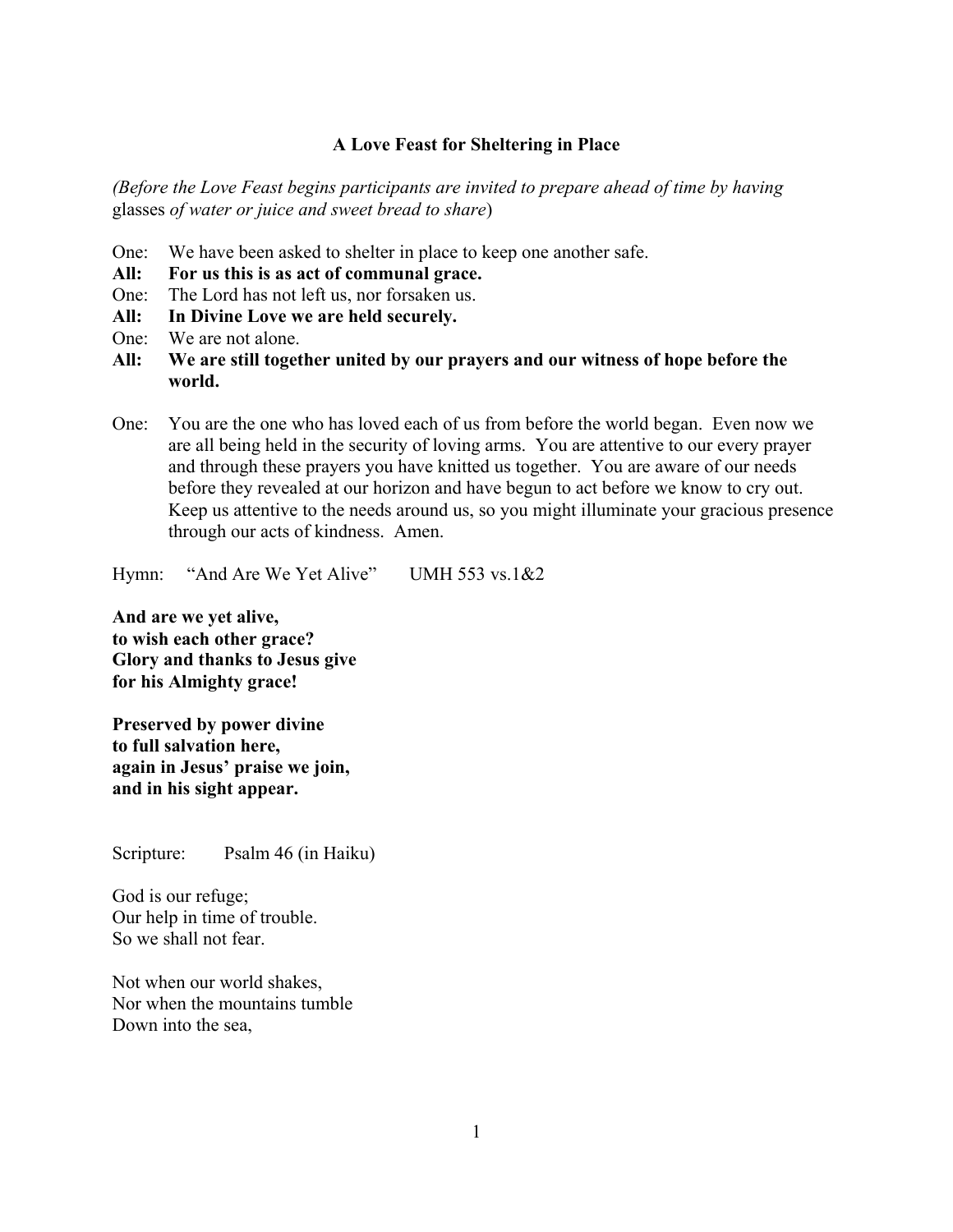## **A Love Feast for Sheltering in Place**

*(Before the Love Feast begins participants are invited to prepare ahead of time by having*  glasses *of water or juice and sweet bread to share*)

- One: We have been asked to shelter in place to keep one another safe.
- **All: For us this is as act of communal grace.**
- One: The Lord has not left us, nor forsaken us.
- **All: In Divine Love we are held securely.**
- One: We are not alone.
- **All: We are still together united by our prayers and our witness of hope before the world.**
- One: You are the one who has loved each of us from before the world began. Even now we are all being held in the security of loving arms. You are attentive to our every prayer and through these prayers you have knitted us together. You are aware of our needs before they revealed at our horizon and have begun to act before we know to cry out. Keep us attentive to the needs around us, so you might illuminate your gracious presence through our acts of kindness. Amen.

Hymn: "And Are We Yet Alive" UMH 553 vs.1&2

**And are we yet alive, to wish each other grace? Glory and thanks to Jesus give for his Almighty grace!**

**Preserved by power divine to full salvation here, again in Jesus' praise we join, and in his sight appear.**

Scripture: Psalm 46 (in Haiku)

God is our refuge; Our help in time of trouble. So we shall not fear.

Not when our world shakes, Nor when the mountains tumble Down into the sea,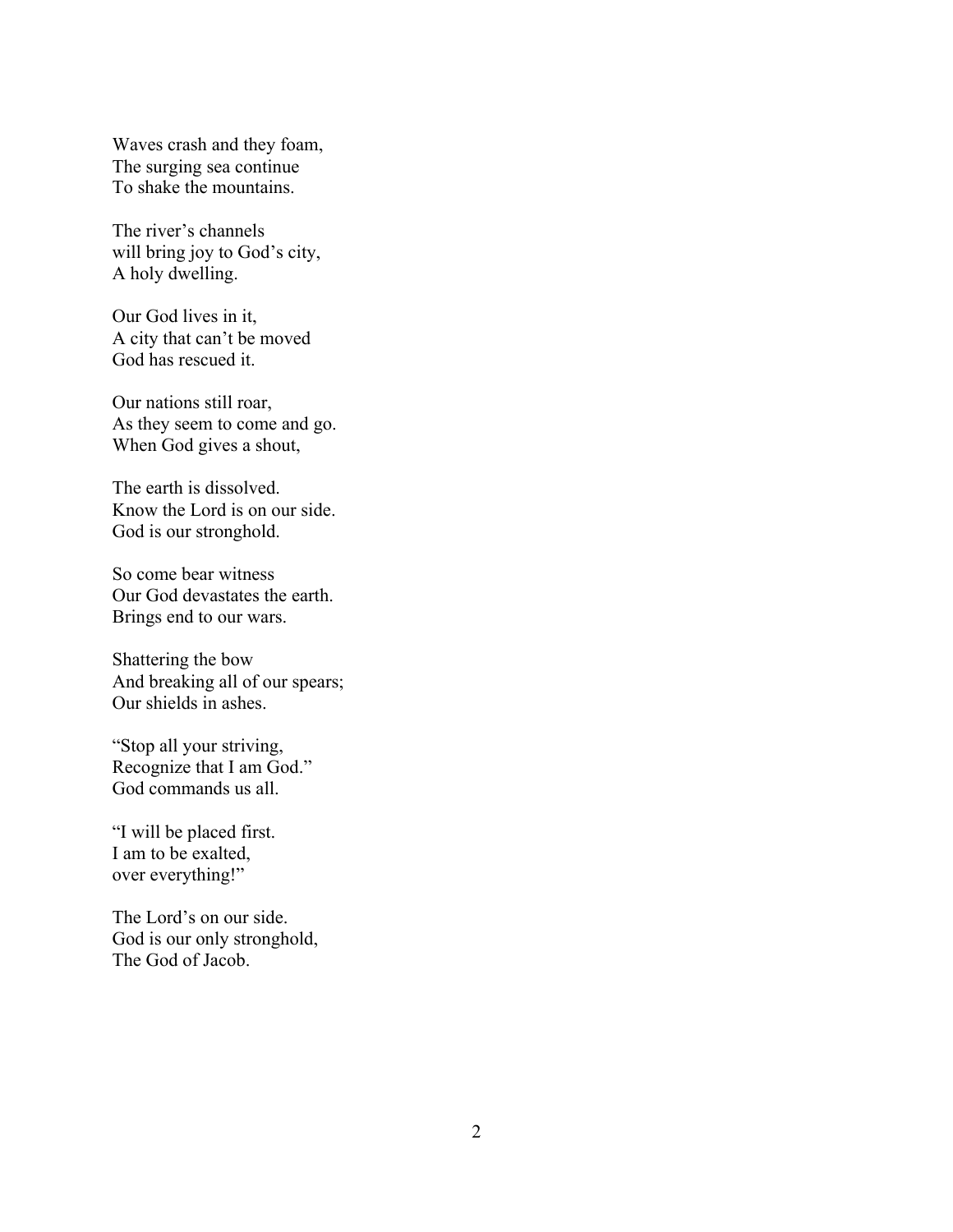Waves crash and they foam, The surging sea continue To shake the mountains.

The river's channels will bring joy to God's city, A holy dwelling.

Our God lives in it, A city that can't be moved God has rescued it.

Our nations still roar, As they seem to come and go. When God gives a shout,

The earth is dissolved. Know the Lord is on our side. God is our stronghold.

So come bear witness Our God devastates the earth. Brings end to our wars.

Shattering the bow And breaking all of our spears; Our shields in ashes.

"Stop all your striving, Recognize that I am God." God commands us all.

"I will be placed first. I am to be exalted, over everything!"

The Lord's on our side. God is our only stronghold, The God of Jacob.